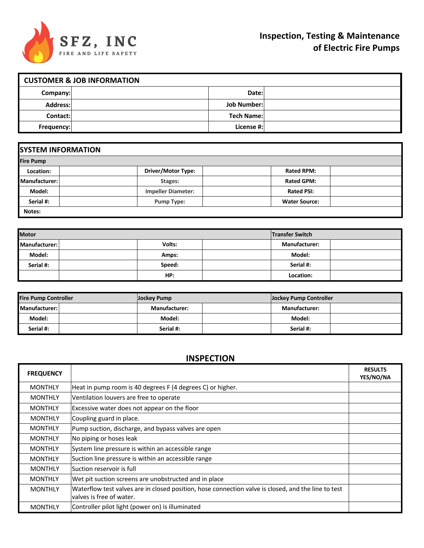

| <b>CUSTOMER &amp; JOB INFORMATION</b> |  |                    |  |  |
|---------------------------------------|--|--------------------|--|--|
| Company:                              |  | Date:              |  |  |
| <b>Address:</b>                       |  | <b>Job Number:</b> |  |  |
| Contact:                              |  | <b>Tech Name:</b>  |  |  |
| Frequency:                            |  | License #:         |  |  |

| <b>SYSTEM INFORMATION</b> |                           |                      |  |  |  |
|---------------------------|---------------------------|----------------------|--|--|--|
| <b>Fire Pump</b>          |                           |                      |  |  |  |
| Location:                 | <b>Driver/Motor Type:</b> | <b>Rated RPM:</b>    |  |  |  |
| <b>Manufacturer:</b>      | Stages:                   | <b>Rated GPM:</b>    |  |  |  |
| Model:                    | <b>Impeller Diameter:</b> | <b>Rated PSI:</b>    |  |  |  |
| Serial #:                 | <b>Pump Type:</b>         | <b>Water Source:</b> |  |  |  |
| Notes:                    |                           |                      |  |  |  |

| <b>Motor</b>  |        |  | <b>Transfer Switch</b> |  |
|---------------|--------|--|------------------------|--|
| Manufacturer: | Volts: |  | <b>Manufacturer:</b>   |  |
| Model:        | Amps:  |  | Model:                 |  |
| Serial #:     | Speed: |  | Serial #:              |  |
|               | HP:    |  | Location:              |  |

| <b>Fire Pump Controller</b> | Jockey Pump          |  | <b>Jockey Pump Controller</b> |  |
|-----------------------------|----------------------|--|-------------------------------|--|
| Manufacturer:               | <b>Manufacturer:</b> |  | <b>Manufacturer:</b>          |  |
| Model:                      | Model:               |  | Model:                        |  |
| Serial #:                   | Serial #:            |  | Serial #:                     |  |

## **INSPECTION**

| <b>FREQUENCY</b> |                                                                                                                                 | <b>RESULTS</b><br>YES/NO/NA |
|------------------|---------------------------------------------------------------------------------------------------------------------------------|-----------------------------|
| <b>MONTHLY</b>   | Heat in pump room is 40 degrees F (4 degrees C) or higher.                                                                      |                             |
| <b>MONTHLY</b>   | Ventilation louvers are free to operate                                                                                         |                             |
| <b>MONTHLY</b>   | Excessive water does not appear on the floor                                                                                    |                             |
| <b>MONTHLY</b>   | Coupling guard in place.                                                                                                        |                             |
| <b>MONTHLY</b>   | Pump suction, discharge, and bypass valves are open                                                                             |                             |
| <b>MONTHLY</b>   | No piping or hoses leak                                                                                                         |                             |
| <b>MONTHLY</b>   | System line pressure is within an accessible range                                                                              |                             |
| <b>MONTHLY</b>   | Suction line pressure is within an accessible range                                                                             |                             |
| <b>MONTHLY</b>   | Suction reservoir is full                                                                                                       |                             |
| <b>MONTHLY</b>   | Wet pit suction screens are unobstructed and in place                                                                           |                             |
| <b>MONTHLY</b>   | Waterflow test valves are in closed position, hose connection valve is closed, and the line to test<br>valves is free of water. |                             |
| <b>MONTHLY</b>   | Controller pilot light (power on) is illuminated                                                                                |                             |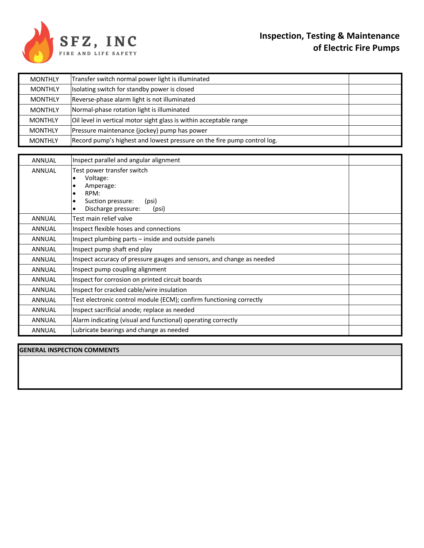

| <b>MONTHLY</b> | Transfer switch normal power light is illuminated                                                                                   |  |
|----------------|-------------------------------------------------------------------------------------------------------------------------------------|--|
| <b>MONTHLY</b> | Isolating switch for standby power is closed                                                                                        |  |
| <b>MONTHLY</b> | Reverse-phase alarm light is not illuminated                                                                                        |  |
| <b>MONTHLY</b> | Normal-phase rotation light is illuminated                                                                                          |  |
| <b>MONTHLY</b> | Oil level in vertical motor sight glass is within acceptable range                                                                  |  |
| <b>MONTHLY</b> | Pressure maintenance (jockey) pump has power                                                                                        |  |
| <b>MONTHLY</b> | Record pump's highest and lowest pressure on the fire pump control log.                                                             |  |
|                |                                                                                                                                     |  |
| <b>ANNUAL</b>  | Inspect parallel and angular alignment                                                                                              |  |
| <b>ANNUAL</b>  | Test power transfer switch<br>Voltage:<br>Amperage:<br>٠<br>RPM:<br>٠<br>Suction pressure:<br>(psi)<br>Discharge pressure:<br>(psi) |  |
| <b>ANNUAL</b>  | Test main relief valve                                                                                                              |  |
| <b>ANNUAL</b>  | Inspect flexible hoses and connections                                                                                              |  |
| <b>ANNUAL</b>  | Inspect plumbing parts - inside and outside panels                                                                                  |  |
| <b>ANNUAL</b>  | Inspect pump shaft end play                                                                                                         |  |
| <b>ANNUAL</b>  | Inspect accuracy of pressure gauges and sensors, and change as needed                                                               |  |
| <b>ANNUAL</b>  | Inspect pump coupling alignment                                                                                                     |  |
| <b>ANNUAL</b>  | Inspect for corrosion on printed circuit boards                                                                                     |  |
| <b>ANNUAL</b>  | Inspect for cracked cable/wire insulation                                                                                           |  |
| <b>ANNUAL</b>  | Test electronic control module (ECM); confirm functioning correctly                                                                 |  |
| <b>ANNUAL</b>  | Inspect sacrificial anode; replace as needed                                                                                        |  |
| <b>ANNUAL</b>  | Alarm indicating (visual and functional) operating correctly                                                                        |  |
| <b>ANNUAL</b>  | Lubricate bearings and change as needed                                                                                             |  |

**GENERAL INSPECTION COMMENTS**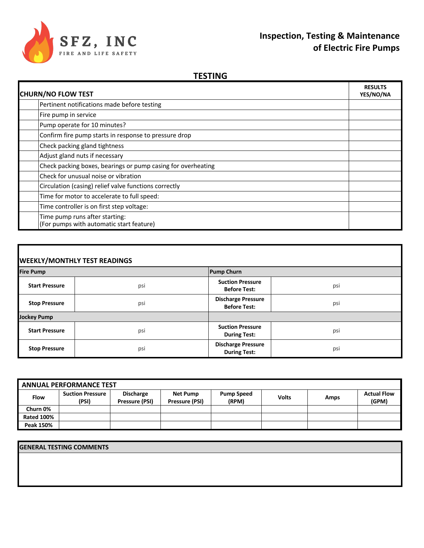

## **Inspection, Testing & Maintenance of Electric Fire Pumps**

## **TESTING**

| <b>CHURN/NO FLOW TEST</b>                                                  |  |
|----------------------------------------------------------------------------|--|
| Pertinent notifications made before testing                                |  |
| Fire pump in service                                                       |  |
| Pump operate for 10 minutes?                                               |  |
| Confirm fire pump starts in response to pressure drop                      |  |
| Check packing gland tightness                                              |  |
| Adjust gland nuts if necessary                                             |  |
| Check packing boxes, bearings or pump casing for overheating               |  |
| Check for unusual noise or vibration                                       |  |
| Circulation (casing) relief valve functions correctly                      |  |
| Time for motor to accelerate to full speed:                                |  |
| Time controller is on first step voltage:                                  |  |
| Time pump runs after starting:<br>(For pumps with automatic start feature) |  |

| <b>WEEKLY/MONTHLY TEST READINGS</b> |     |                                                  |     |  |  |
|-------------------------------------|-----|--------------------------------------------------|-----|--|--|
| <b>Fire Pump</b>                    |     | <b>Pump Churn</b>                                |     |  |  |
| <b>Start Pressure</b>               | psi | <b>Suction Pressure</b><br><b>Before Test:</b>   | psi |  |  |
| <b>Stop Pressure</b>                | psi | <b>Discharge Pressure</b><br><b>Before Test:</b> | psi |  |  |
| <b>Jockey Pump</b>                  |     |                                                  |     |  |  |
| <b>Start Pressure</b>               | psi | <b>Suction Pressure</b><br><b>During Test:</b>   | psi |  |  |
| <b>Stop Pressure</b>                | psi | <b>Discharge Pressure</b><br><b>During Test:</b> | psi |  |  |

| <b>ANNUAL PERFORMANCE TEST</b> |                                  |                                    |                            |                            |              |      |                             |
|--------------------------------|----------------------------------|------------------------------------|----------------------------|----------------------------|--------------|------|-----------------------------|
| <b>Flow</b>                    | <b>Suction Pressure</b><br>(PSI) | <b>Discharge</b><br>Pressure (PSI) | Net Pump<br>Pressure (PSI) | <b>Pump Speed</b><br>(RPM) | <b>Volts</b> | Amps | <b>Actual Flow</b><br>(GPM) |
| Churn 0%                       |                                  |                                    |                            |                            |              |      |                             |
| <b>Rated 100%</b>              |                                  |                                    |                            |                            |              |      |                             |
| Peak 150%                      |                                  |                                    |                            |                            |              |      |                             |

**GENERAL TESTING COMMENTS**